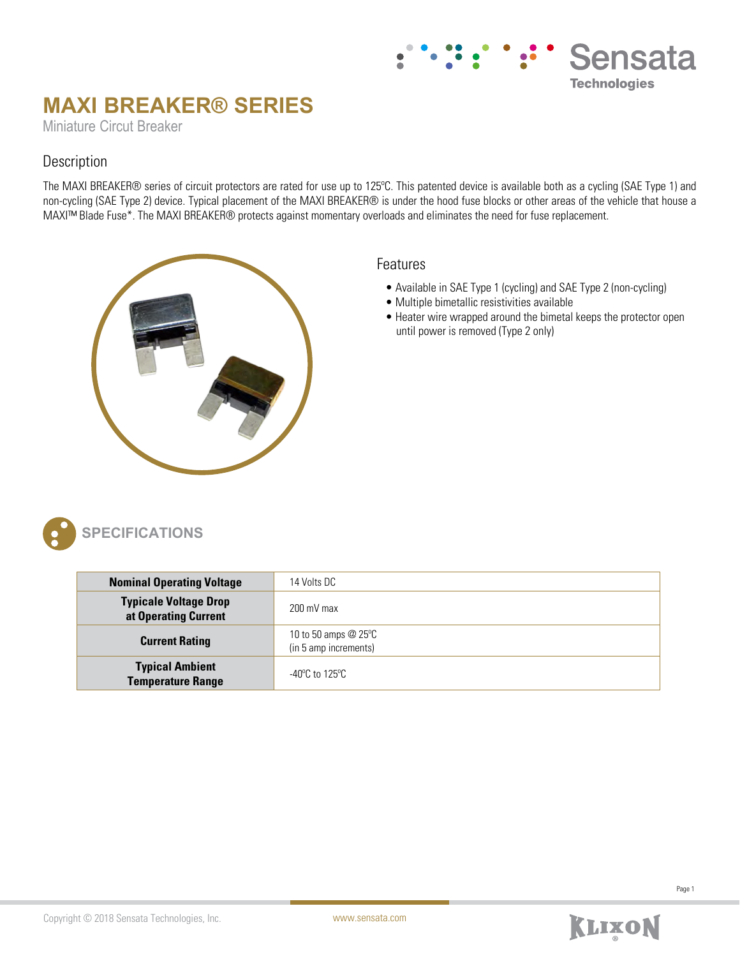# **MAXI BREAKER® SERIES**

Miniature Circut Breaker

## Description

The MAXI BREAKER® series of circuit protectors are rated for use up to 125ºC. This patented device is available both as a cycling (SAE Type 1) and non-cycling (SAE Type 2) device. Typical placement of the MAXI BREAKER® is under the hood fuse blocks or other areas of the vehicle that house a MAXI™ Blade Fuse\*. The MAXI BREAKER® protects against momentary overloads and eliminates the need for fuse replacement.



#### Features

- Available in SAE Type 1 (cycling) and SAE Type 2 (non-cycling)
- Multiple bimetallic resistivities available
- Heater wire wrapped around the bimetal keeps the protector open until power is removed (Type 2 only)

Sensata

**Technologies** 



# **SPECIFICATIONS**

| <b>Nominal Operating Voltage</b>                     | 14 Volts DC                                          |
|------------------------------------------------------|------------------------------------------------------|
| <b>Typicale Voltage Drop</b><br>at Operating Current | $200 \text{ mV}$ max                                 |
| <b>Current Rating</b>                                | 10 to 50 amps $@25^\circ C$<br>(in 5 amp increments) |
| <b>Typical Ambient</b><br><b>Temperature Range</b>   | -40°C to 125°C                                       |

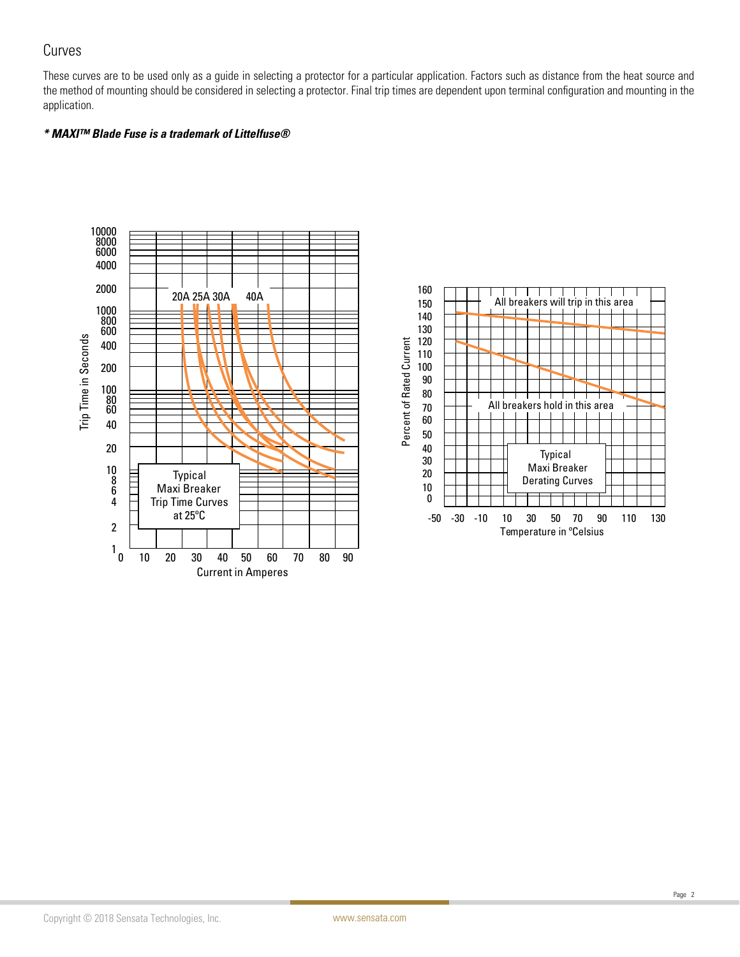## Curves

These curves are to be used only as a guide in selecting a protector for a particular application. Factors such as distance from the heat source and the method of mounting should be considered in selecting a protector. Final trip times are dependent upon terminal configuration and mounting in the application.

#### **\* MAXI™ Blade Fuse is a trademark of Littelfuse®**